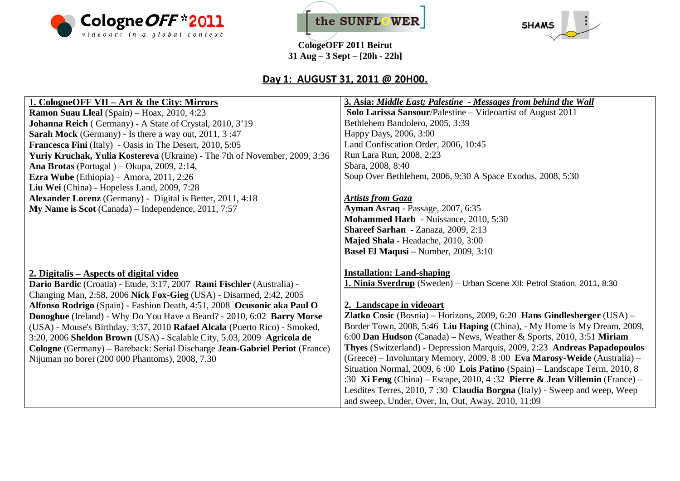





## **Day 1: AUGUST 31, 2011 @ 20H00.**

#### 1**. CologneOFF VII – Art & the City: Mirrors Ramon Suau Lleal** (Spain) – Hoax, 2010, 4:23 **Johanna Reich** ( Germany) - A State of Crystal, 2010, 3'19 **Sarah Mock** (Germany) - Is there a way out, 2011, 3 :47 **Francesca Fini** (Italy) - Oasis in The Desert, 2010, 5:05 **Yuriy Kruchak, Yulia Kostereva** (Ukraine) - The 7th of November, 2009, 3:36 **Ana Brotas** (Portugal ) – Okupa, 2009, 2:14, **Ezra Wube** (Ethiopia) – Amora, 2011, 2:26 **Liu Wei** (China) - Hopeless Land, 2009, 7:28 **Alexander Lorenz** (Germany) - Digital is Better, 2011, 4:18 **My Name is Scot** (Canada) – Independence, 2011, 7:57 **2. Digitalis – Aspects of digital video Dario Bardic** (Croatia) - Etude, 3:17, 2007 **Rami Fischler** (Australia) - Changing Man, 2:58, 2006 **Nick Fox-Gieg** (USA) - Disarmed, 2:42, 2005 **Alfonso Rodrigo** (Spain) - Fashion Death, 4:51, 2008 **Ocusonic aka Paul O Donoghue** (Ireland) - Why Do You Have a Beard? - 2010, 6:02 **Barry Morse** (USA) - Mouse's Birthday, 3:37, 2010 **Rafael Alcala** (Puerto Rico) - Smoked, 3:20, 2006 **Sheldon Brown** (USA) - Scalable City, 5.03, 2009 **Agricola de Cologne** (Germany) – Bareback: Serial Discharge **Jean-Gabriel Periot** (France) Nijuman no borei (200 000 Phantoms), 2008, 7.30 **3. Asia:** *Middle East; Palestine* **-** *Messages from behind the Wall*  **Solo Larissa Sansour**/Palestine – Videoartist of August 2011 Bethlehem Bandolero, 2005, 3:39 Happy Days, 2006, 3:00 Land Confiscation Order, 2006, 10:45 Run Lara Run, 2008, 2:23 Sbara, 2008, 8:40 Soup Over Bethlehem, 2006, 9:30 A Space Exodus, 2008, 5:30 *Artists from Gaza*  **Ayman Asraq** - Passage, 2007, 6:35 **Mohammed Harb** - Nuissance, 2010, 5:30 **Shareef Sarhan** - Zanaza, 2009, 2:13 **Majed Shala** - Headache, 2010, 3:00 **Basel El Maqusi** – Number, 2009, 3:10 **Installation: Land-shaping 1. Ninia Sverdrup** (Sweden) – Urban Scene XII: Petrol Station, 2011, 8:30 **2. Landscape in videoart Zlatko Cosic** (Bosnia) – Horizons, 2009, 6:20 **Hans Gindlesberger** (USA) – Border Town, 2008, 5:46 **Liu Haping** (China), - My Home is My Dream, 2009, 6:00 **Dan Hudson** (Canada) – News, Weather & Sports, 2010, 3:51 **Miriam Thyes** (Switzerland) - Depression Marquis, 2009, 2:23 **Andreas Papadopoulos** (Greece) – Involuntary Memory, 2009, 8 :00 **Eva Marosy-Weide** (Australia) – Situation Normal, 2009, 6 :00 **Lois Patino** (Spain) – Landscape Term, 2010, 8 :30 **Xi Feng** (China) – Escape, 2010, 4 :32 **Pierre & Jean Villemin** (France) – Lesdites Terres, 2010, 7 :30 **Claudia Borgna** (Italy) - Sweep and weep, Weep and sweep, Under, Over, In, Out, Away, 2010, 11:09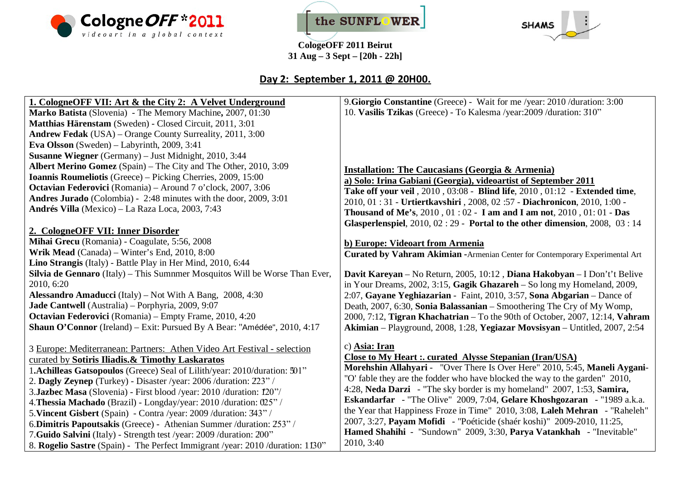





# **Day 2: September 1, 2011 @ 20H00.**

| 1. CologneOFF VII: Art & the City 2: A Velvet Underground                      | 9. Giorgio Constantine (Greece) - Wait for me /year: 2010 /duration: 3:00           |
|--------------------------------------------------------------------------------|-------------------------------------------------------------------------------------|
| Marko Batista (Slovenia) - The Memory Machine, 2007, 01:30                     | 10. Vasilis Tzikas (Greece) - To Kalesma /year: 2009 / duration: 310"               |
| Matthias Härenstam (Sweden) - Closed Circuit, 2011, 3:01                       |                                                                                     |
| <b>Andrew Fedak</b> (USA) – Orange County Surreality, 2011, 3:00               |                                                                                     |
| Eva Olsson (Sweden) – Labyrinth, 2009, 3:41                                    |                                                                                     |
| Susanne Wiegner (Germany) - Just Midnight, 2010, 3:44                          |                                                                                     |
| Albert Merino Gomez (Spain) – The City and The Other, 2010, 3:09               | <b>Installation: The Caucasians (Georgia &amp; Armenia)</b>                         |
| Ioannis Roumeliotis (Greece) - Picking Cherries, 2009, 15:00                   | a) Solo: Irina Gabiani (Georgia), videoartist of September 2011                     |
| Octavian Federovici (Romania) - Around 7 o'clock, 2007, 3:06                   | Take off your veil, 2010, 03:08 - Blind life, 2010, 01:12 - Extended time,          |
| Andres Jurado (Colombia) - 2:48 minutes with the door, 2009, 3:01              | 2010, 01:31 - Urtiertkavshiri, 2008, 02:57 - Diachronicon, 2010, 1:00 -             |
| Andrés Villa (Mexico) – La Raza Loca, 2003, 7:43                               | <b>Thousand of Me's, 2010, 01:02 - I am and I am not, 2010, 01:01 - Das</b>         |
|                                                                                | Glasperlenspiel, $2010$ , $02:29$ - Portal to the other dimension, $2008$ , $03:14$ |
| 2. CologneOFF VII: Inner Disorder                                              |                                                                                     |
| Mihai Grecu (Romania) - Coagulate, 5:56, 2008                                  | b) Europe: Videoart from Armenia                                                    |
| Wrik Mead (Canada) - Winter's End, 2010, 8:00                                  | Curated by Vahram Akimian - Armenian Center for Contemporary Experimental Art       |
| Lino Strangis (Italy) - Battle Play in Her Mind, 2010, 6:44                    |                                                                                     |
| Silvia de Gennaro (Italy) - This Sumnmer Mosquitos Will be Worse Than Ever,    | Davit Kareyan – No Return, 2005, 10:12, Diana Hakobyan – I Don't't Belive           |
| 2010, 6:20                                                                     | in Your Dreams, $2002$ , $3:15$ , Gagik Ghazareh – So long my Homeland, $2009$ ,    |
| Alessandro Amaducci (Italy) - Not With A Bang, 2008, 4:30                      | 2:07, Gayane Yeghiazarian - Faint, 2010, 3:57, Sona Abgarian - Dance of             |
| Jade Cantwell (Australia) – Porphyria, 2009, 9:07                              | Death, 2007, 6:30, Sonia Balassanian - Smoothering The Cry of My Womp,              |
| Octavian Federovici (Romania) – Empty Frame, 2010, 4:20                        | 2000, 7:12, Tigran Khachatrian – To the 90th of October, 2007, 12:14, Vahram        |
| Shaun O'Connor (Ireland) - Exit: Pursued By A Bear: "Amédée", 2010, 4:17       | Akimian - Playground, 2008, 1:28, Yegiazar Movsisyan - Untitled, 2007, 2:54         |
|                                                                                |                                                                                     |
| 3 Europe: Mediterranean: Partners: Athen Video Art Festival - selection        | c) Asia: Iran                                                                       |
| curated by Sotiris Iliadis.& Timothy Laskaratos                                | <b>Close to My Heart: curated Alysse Stepanian (Iran/USA)</b>                       |
| 1. Achilleas Gatsopoulos (Greece) Seal of Lilith/year: 2010/duration: 501"     | Morehshin Allahyari - "Over There Is Over Here" 2010, 5:45, Maneli Aygani-          |
| 2. Dagly Zeynep (Turkey) - Disaster /year: 2006 /duration: 223" /              | "O' fable they are the fodder who have blocked the way to the garden" 2010,         |
| 3.Jazbec Masa (Slovenia) - First blood /year: 2010 /duration: 120"/            | 4:28, Neda Darzi - "The sky border is my homeland" 2007, 1:53, Samira,              |
| 4. Thessia Machado (Brazil) - Longday/year: 2010/duration: 025"/               | Eskandarfar - "The Olive" 2009, 7:04, Gelare Khoshgozaran - "1989 a.k.a.            |
| 5. Vincent Gisbert (Spain) - Contra /year: 2009 /duration: 343" /              | the Year that Happiness Froze in Time" 2010, 3:08, Laleh Mehran - "Raheleh"         |
| 6. Dimitris Papoutsakis (Greece) - Athenian Summer / duration: 253" /          | 2007, 3:27, Payam Mofidi - "Poéticide (shaér koshi)" 2009-2010, 11:25,              |
| 7. Guido Salvini (Italy) - Strength test /year: 2009 /duration: 200"           | Hamed Shahihi - "Sundown" 2009, 3:30, Parya Vatankhah - "Inevitable"                |
| 8. Rogelio Sastre (Spain) - The Perfect Immigrant /year: 2010 /duration: 1130" | 2010, 3:40                                                                          |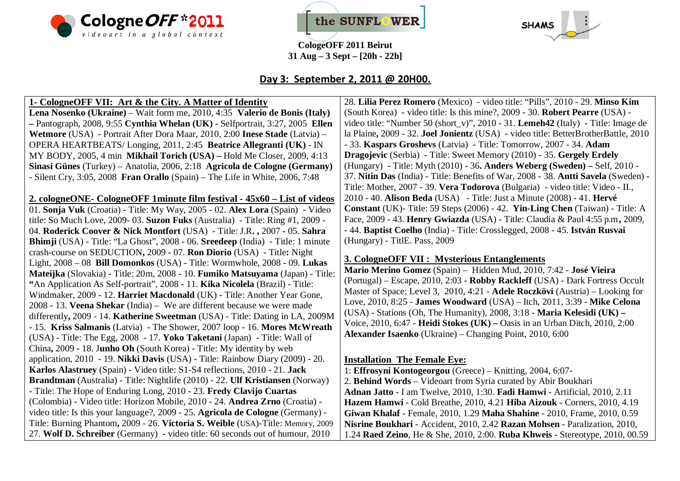





### **Day 3: September 2, 2011 @ 20H00.**

#### **1- CologneOFF VII: Art & the City. A Matter of Identity**

**Lena Nosenko (Ukraine)** – Wait form me, 2010, 4:35 **Valerio de Bonis (Italy) –** Pantograph, 2008, 9:55 **Cynthia Whelan (UK)** - Selfportrait, 3:27, 2005 **Ellen Wetmore** (USA) - Portrait After Dora Maar, 2010, 2:00 **Inese Stade** (Latvia) – OPERA HEARTBEATS/ Longing, 2011, 2:45 **Beatrice Allegranti (UK)** - IN MY BODY, 2005, 4 min **Mikhail Torich (USA) –** Hold Me Closer, 2009, 4:13 **Sinasi Günes** (Turkey) – Anatolia, 2006, 2:18 **Agricola de Cologne (Germany)** - Silent Cry, 3:05, 2008 **Fran Orallo** (Spain) – The Life in White, 2006, 7:48

**2. cologneONE- CologneOFF 1minute film festival - 45x60 – List of videos**  01. **Sonja Vuk** (Croatia) - Title: My Way, 2005 - 02. **Alex Lora** (Spain) - Video title: So Much Love, 2009- 03. **Suzon Fuks** (Australia) - Title: Ring #1, 2009 - 04. **Roderick Coover & Nick Montfort** (USA) - Title: J.R**. ,** 2007 - 05. **Sahra Bhimji** (USA) - Title: "La Ghost", 2008 - 06. **Sreedeep** (India) - Title: 1 minute crash-course on SEDUCTION**,** 2009 - 07. **Ron Diorio** (USA) - Title**:** Night Light, 2008 – 08 **Bill Domonkos** (USA) - Title: Wormwhole, 2008 - 09. **Lukas Mateijka** (Slovakia) - Title: 20m, 2008 - 10. **Fumiko Matsuyama** (Japan) - Title: **"**An Application As Self-portrait", 2008 - 11. **Kika Nicolela** (Brazil) - Title: Windmaker, 2009 - 12. **Harriet Macdonald** (UK) - Title: Another Year Gone, 2008 - 13. **Veena Shekar** (India) – We are different because we were made differently**,** 2009 - 14. **Katherine Sweetman** (USA) - Title: Dating in LA, 2009M - 15. **Kriss Salmanis** (Latvia) - The Shower, 2007 loop - 16. **Mores McWreath** (USA) - Title: The Egg, 2008 - 17. **Yoko Taketani** (Japan) - Title: Wall of China**,** 2009 - 18. J**unho Oh** (South Korea) - Title: My identity by web application, 2010 - 19. **Nikki Davis** (USA) - Title: Rainbow Diary (2009) - 20. **Karlos Alastruey** (Spain) - Video title: S1-S4 reflections, 2010 - 21. **Jack Brandtman** (Australia) - Title: Nightlife (2010) - 22. **Ulf Kristiansen** (Norway) - Title: The Hope of Enduring Long, 2010 - 23. **Fredy Clavijo Cuartas** (Colombia) - Video title: Horizon Mobile, 2010 - 24. **Andrea Zrno** (Croatia) video title: Is this your language?, 2009 - 25. **Agricola de Cologne** (Germany) - Title: Burning Phantom**,** 2009 - 26. **Victoria S. Weible** (USA)-Title: Memory, 2009 27. **Wolf D. Schreiber** (Germany) - video title: 60 seconds out of humour, 2010

28. **Lilia Perez Romero** (Mexico) - video title: "Pills", 2010 - 29. **Minso Kim** (South Korea) - video title: Is this mine?, 2009 - 30. **Robert Pearre** (USA) video title: "Number 50 (short\_v)", 2010 - 31. **Lemeh42** (Italy) - Title: Image de la Plaine**,** 2009 - 32. **Joel Jonientz** (USA) - video title: BetterBrotherBattle, 2010 - 33. **Kaspars Groshevs** (Latvia) - Title: Tomorrow, 2007 - 34. **Adam Dragojevic** (Serbia) - Title: Sweet Memory (2010) - 35. **Gergely Erdely** (Hungary) - Title: Myth (2010) - 36**. Anders Weberg (Sweden) –** Self, 2010 - 37. **Nitin Das** (India) - Title: Benefits of War, 2008 - 38. **Antti Savela** (Sweden) - Title: Mother, 2007 - 39. **Vera Todorova** (Bulgaria) - video title: Video - II., 2010 - 40. **Alison Beda** (USA) - Title: Just a Minute (2008) - 41. **Hervé Constant** (UK)- Title: 59 Steps (2006) - 42. **Yin-Ling Chen** (Taiwan) - Title: A Face, 2009 - 43. **Henry Gwiazda** (USA) - Title: Claudia & Paul 4:55 p.m**,** 2009, - 44. **Baptist Coelho** (India) - Title: Crosslegged, 2008 - 45. **István Rusvai**  (Hungary) - TitlE. Pass, 2009

#### **3. CologneOFF VII : Mysterious Entanglements**

**Mario Merino Gomez** (Spain) – Hidden Mud, 2010, 7:42 - **José Vieira** (Portugal) – Escape, 2010, 2:03 - **Robby Rackleff** (USA) - Dark Fortress Occult Master of Space: Level 3, 2010, 4:21 - **Adele Roczkövi** (Austria) – Looking for Love, 2010, 8:25 - **James Woodward** (USA) – Itch, 2011, 3:39 - **Mike Celona** (USA) - Stations (Oh, The Humanity), 2008, 3:18 - **Maria Kelesidi (UK) –** Voice, 2010, 6:47 - **Heidi Stokes (UK) –** Oasis in an Urban Ditch, 2010, 2:00 **Alexander Isaenko** (Ukraine) – Changing Point, 2010, 6:00

#### **Installation The Female Eye:**

1: **Effrosyni Kontogeorgou** (Greece) – Knitting, 2004, 6:07-

2. **Behind Words** – Videoart from Syria curated by Abir Boukhari

**Adnan Jatto** - I am Twelve, 2010, 1:30. **Fadi Hamwi** - Artificial, 2010, 2.11 **Hazem Hamwi** - Cold Breathe, 2010, 4.21 **Hiba Aizouk** - Corners, 2010, 4.19 **Giwan Khalaf** - Female, 2010, 1.29 **Maha Shahine** - 2010, Frame, 2010, 0.59 **Nisrine Boukhari** - Accident, 2010, 2.42 **Razan Mohsen** - Paralization, 2010,

1.24 **Raed Zeino**, He & She, 2010, 2:00. **Ruba Khweis** - Stereotype, 2010, 00.59